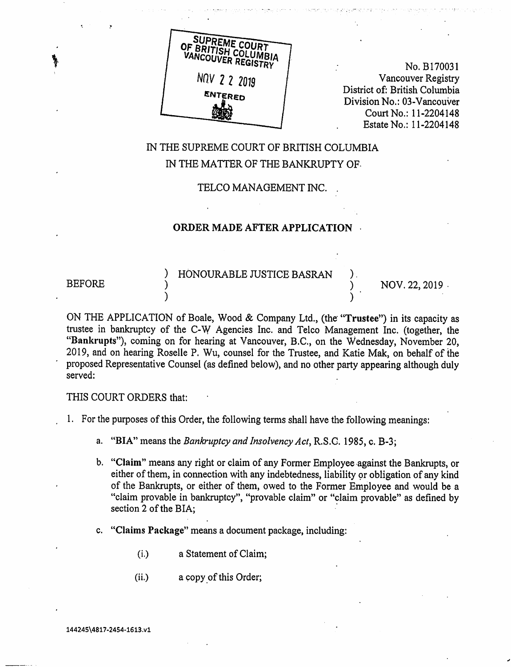

No. B170031 Vancouver Registry District of: British Columbia Division No.: 03-Vancouver Court No.: 11-2204148 Estate No.: 11-2204148

# IN THE SUPREME COURT OF BRITISH COLUMBIA IN THE MATTER OF THE BANKRUPTY OF.

TELCO MANAGEMENT INC. .

### ORDER MADE AFTER APPLICATION •

) HONOURABLE JUSTICE BASRAN ) • BEFORE ) NOV. 22, 2019 •

ON THE APPLICATION of Boale, Wood & Company Ltd., (the "Trustee") in its capacity as trustee in bankruptcy of the C-W Agencies Inc. and Telco Management Inc. (together, the "Bankrupts"), coming on for hearing at Vancouver, B.C., on the Wednesday, November 20, 2019, and on hearing Roselle P. Wu, counsel for the Trustee, and Katie Mak, on behalf of the proposed Representative Counsel (as defined below), and no other party appearing although duly served:

THIS COURT ORDERS that:

1. For the purposes of this Order, the following terms shall have the following meanings:

- a. "BIA" means the Bankruptcy and Insolvency Act, R.S.C. 1985, c. B-3;
- b. "Claim" means any right or claim of any Former Employee against the Bankrupts, or either of them, in connection with any indebtedness, liability or obligation of any kind of the Bankrupts, or either of them, owed to the Former Employee and would be a "claim provable in bankruptcy", "provable claim" or "claim provable" as defined by section 2 of the BIA;
- c. "Claims Package" means a document package, including:
	- (i.) a Statement of Claim;
	- (ii.) a copy of this Order;

144245\4817-2454-1613.v1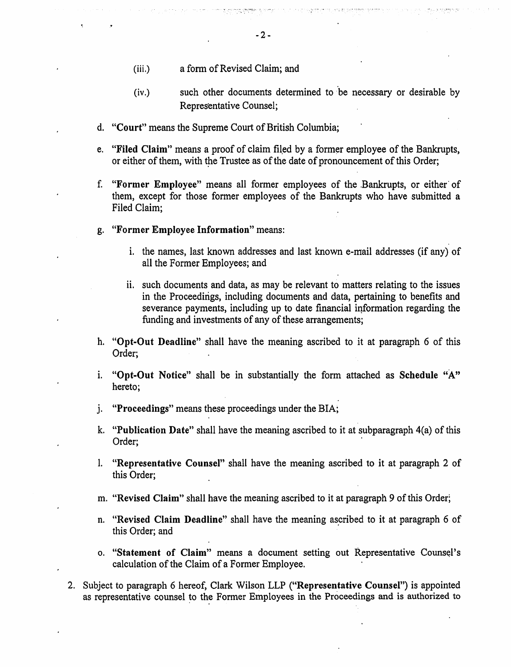- (iii.) a form of Revised Claim; and
- (iv.) such other documents determined to 'be necessary or desirable by Representative Counsel;
- d. "Court" means the Supreme Court of British Columbia;
- e. "Filed Claim" means a proof of claim filed by a former employee of the Bankrupts, or either of them, with the Trustee as of the date of pronouncement of this Order;
- f. "Former Employee" means all former employees of the .Bankrupts, or either of them, except for those former employees of the Bankrupts who have submitted a Filed Claim;
- g. "Former Employee Information" means:
	- i. the names, last known addresses and last known e-mail addresses (if any) of all the Former Employees; and
	- ii. such documents and data, as may be relevant to matters relating to the issues in the Proceedings, including documents and data, pertaining to benefits and severance payments, including up to date financial information regarding the funding and investments of any of these arrangements;
- h. "Opt-Out Deadline" shall have the meaning ascribed to it at paragraph 6 of this Order;
- i. "Opt-Out Notice" shall be in substantially the form attached as Schedule "A" hereto;
- j. "Proceedings" means these proceedings under the BIA;
- k. "Publication Date" shall have the meaning ascribed to it at subparagraph 4(a) of this Order;
- 1. "Representative Counsel" shall have the meaning ascribed to it at paragraph 2 of this Order;
- m. "Revised Claim" shall have the meaning ascribed to it at paragraph 9 of this Order;
- n. "Revised Claim Deadline" shall have the meaning ascribed to it at paragraph 6 of this Order; and
- o. "Statement of Claim" means a document setting out Representative Counsel's calculation of the Claim of a Former Employee.
- 2. Subject to paragraph 6 hereof, Clark Wilson LLP ("Representative Counsel") is appointed as representative counsel to the Former Employees in the Proceedings and is authorized to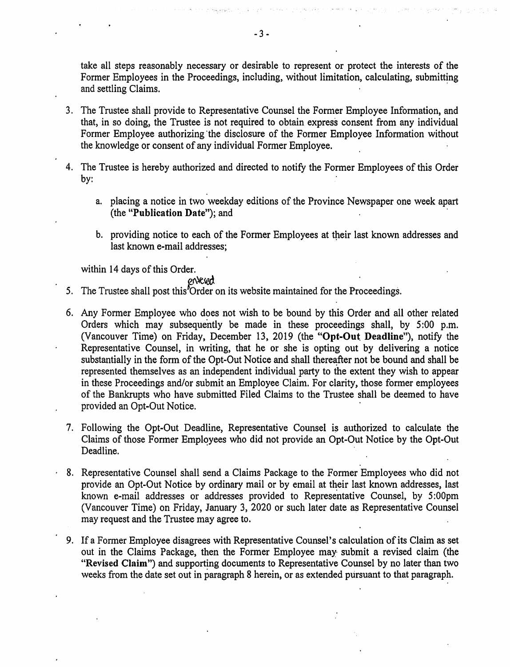take all steps reasonably necessary or desirable to represent or protect the interests of the Former Employees in the Proceedings, including, without limitation, calculating, submitting and settling Claims.

- 3. The Trustee shall provide to Representative Counsel the Former Employee Information, and that, in so doing, the Trustee is not required to obtain express consent from any individual Former Employee authorizing 'the disclosure of the Former Employee Information without the knowledge or consent of any individual Former Employee.
- 4. The Trustee is hereby authorized and directed to notify the Former Employees of this Order by:
	- a. placing a notice in two weekday editions of the Province Newspaper one week apart (the "Publication Date"); and
	- b. providing notice to each of the Former Employees at their last known addresses and last known e-mail addresses;

within 14 days of this Order.

erkiea

- 5. The Trustee shall post this "Order on its website maintained for the Proceedings.
- 6. Any Former Employee who does not wish to be bound by this Order and all other related Orders which may subsequently be made in these proceedings shall, by 5:00 p.m. (Vancouver Time) on Friday, December 13, 2019 (the "Opt-Out Deadline"), notify the Representative Counsel, in writing, that he or she is opting out by delivering a notice substantially in the form of the Opt-Out Notice and shall thereafter not be bound and shall be represented themselves as an independent individual party to the extent they wish to appear in these Proceedings and/or submit an Employee Claim. For clarity, those former employees of the Bankrupts who have submitted Filed Claims to the Trustee shall be deemed to have provided an Opt-Out Notice.
- 7. Following the Opt-Out Deadline, Representative Counsel is authorized to calculate the Claims of those Former Employees who did not provide an Opt-Out Notice by the Opt-Out Deadline.
- 8. Representative Counsel shall send a Claims Package to the Former Employees who did not provide an Opt-Out Notice by ordinary mail or by email at their last known addresses, last known e-mail addresses or addresses provided to Representative Counsel, by 5:00pm (Vancouver Time) on Friday, January 3, 2020 or such later date as Representative Counsel may request and the Trustee may agree to.
- 9. If a Former Employee disagrees with Representative Counsel's calculation of its Claim as set out in the Claims Package, then the Former Employee may submit a revised claim (the "Revised Claim") and supporting documents to Representative Counsel by no later than two weeks from the date set out in paragraph 8 herein, or as extended pursuant to that paragraph.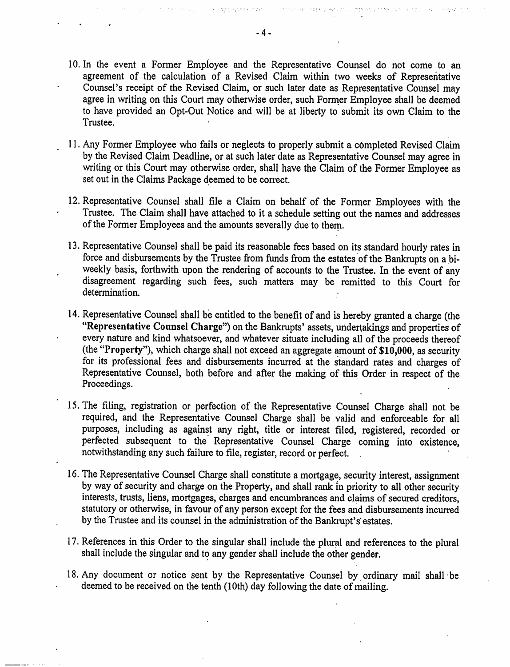- 10. In the event a Former Employee and the Representative Counsel do not come to an agreement of the calculation of a Revised Claim within two weeks of Representative Counsel's receipt of the Revised Claim, or such later date as Representative Counsel may agree in writing on this Court may otherwise order, such Former Employee shall be deemed to have provided an Opt-Out Notice and will be at liberty to submit its own Claim to the Trustee.
- <sup>1</sup> 1. Any Former Employee who fails or neglects to properly submit a completed Revised Claim by the Revised Claim Deadline, or at such later date as Representative Counsel may agree in writing or this Court may otherwise order, shall have the Claim of the Former Employee as set out in the Claims Package deemed to be correct.
- 12. Representative Counsel shall file a Claim on behalf of the Former Employees with the Trustee. The Claim shall have attached to it a schedule setting out the names and addresses of the Former Employees and the amounts severally due to them.
- 13. Representative Counsel shall be paid its reasonable fees based on its standard hourly rates in force and disbursements by the Trustee from funds from the estates of the Bankrupts on a biweekly basis, forthwith upon the rendering of accounts to the Trustee. In the event of any disagreement regarding such fees, such matters may be remitted to this Court for determination.
- 14. Representative Counsel shall be entitled to the benefit of and is hereby granted a charge (the "Representative Counsel Charge") on the Bankrupts' assets, undertakings and properties of every nature and kind whatsoever, and whatever situate including all of the proceeds thereof (the "Property"), which charge shall not exceed an aggregate amount of \$10,000, as security for its professional fees and disbursements incurred at the standard rates and charges of Representative Counsel, both before and after the making of this Order in respect of the Proceedings.
- 15. The filing, registration or perfection of the Representative Counsel Charge shall not be required, and the Representative Counsel Charge shall be valid and enforceable for all purposes, including as against any right, title or interest filed, registered, recorded or perfected subsequent to the Representative Counsel Charge coming into existence, notwithstanding any such failure to file, register, record or perfect. .
- 16. The Representative Counsel Charge shall constitute a mortgage, security interest, assignment by way of security and charge on the Property, and shall rank in priority to all other security interests, trusts, liens, mortgages, charges and encumbrances and claims of secured creditors, statutory or otherwise, in favour of any person except for the fees and disbursements incurred by the Trustee and its counsel in the administration of the Bankrupt's' estates.
- 17. References in this Order to the singular shall include the plural and references to the plural shall include the singular and to any gender shall include the other gender.
- 18. Any document or notice sent by the Representative Counsel by ordinary mail shall be deemed to be received on the tenth (10th) day following the date of mailing.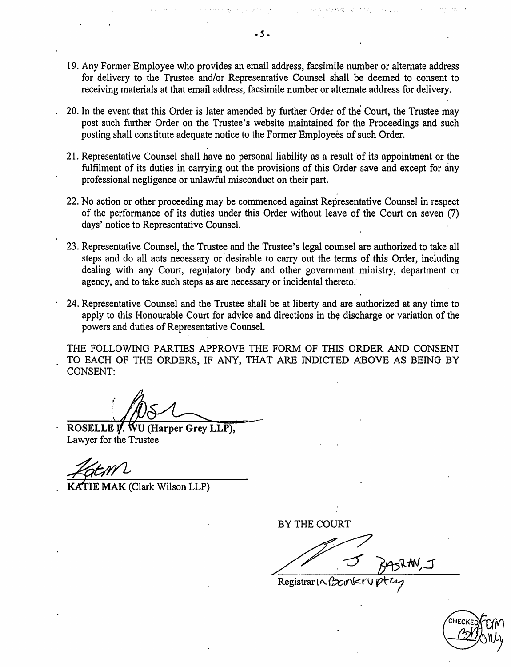- 19. Any Former Employee who provides an email address, facsimile number or alternate address for delivery to the Trustee and/or Representative Counsel shall be deemed to consent to receiving materials at that email address, facsimile number or alternate address for delivery.
- 20. In the event that this Order is later amended by further Order of the Court, the Trustee may post such further Order on the Trustee's website maintained for the Proceedings and such posting shall constitute adequate notice to the Former Employees of such Order.
- 21. Representative Counsel shall have no personal liability as a result of its appointment or the fulfilment of its duties in carrying out the provisions of this Order save and except for any professional negligence or unlawful misconduct on their part.
- 22. No action or other proceeding may be commenced against Representative Counsel in respect of the performance of its duties under this Order without leave of the Court on seven (7) days' notice to Representative Counsel.
- 23. Representative Counsel, the Trustee and the Trustee's legal counsel are authorized to take all steps and do all acts necessary or desirable to carry out the terms of this Order, including dealing with any Court, regulatory body and other government ministry, department or agency, and to take such steps as are necessary or incidental thereto.
- 24. Representative Counsel and the Trustee shall be at liberty and are authorized at any time to apply to this Honourable Court for advice and directions in the discharge or variation of the powers and duties of Representative Counsel.

THE FOLLOWING PARTIES APPROVE THE FORM OF THIS ORDER AND CONSENT TO EACH OF THE ORDERS, IF ANY, THAT ARE INDICTED ABOVE AS BEING BY CONSENT:

ROSELLE V. WU (Harper Grey LLP), Lawyer for the Trustee

IE MAK (Clark Wilson LLP)

BY THE COURT

Registrar  $\log$ 

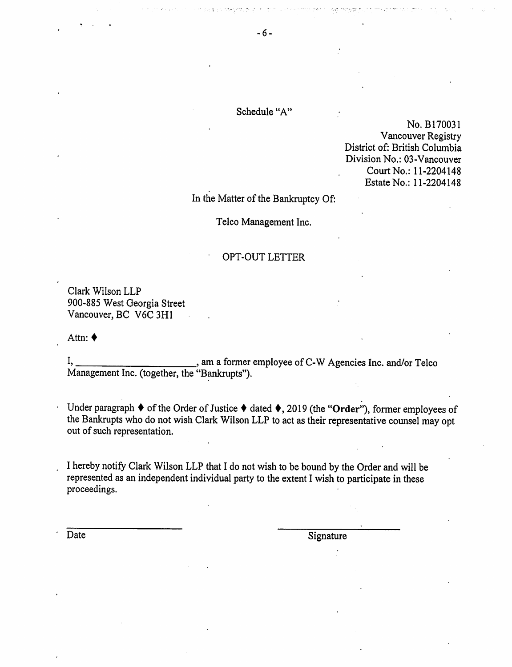### Schedule "A"

No. B170031 Vancouver Registry District of: British Columbia Division No.: 03-Vancouver Court No.: 11-2204148 Estate No.: 11-2204148

<sup>I</sup>n the Matter of the Bankruptcy Of:

<sup>T</sup>elco Management Inc.

#### OPT-OUT LETTER

Clark Wilson LLP 900-885 West Georgia Street Vancouver, BC V6C 3H1

Attn: ♦

 $I,$ , am a former employee of C-W Agencies Inc. and/or Telco <sup>M</sup>anagement Inc. (together, the "Bankrupts").

<sup>U</sup>nder paragraph ♦ of the Order of Justice ♦ dated ♦, 2019 (the "Order"), former employees of <sup>t</sup>he Bankrupts who do not wish Clark Wilson LLP to act as their representative counsel may opt <sup>o</sup>ut of such representation.

<sup>I</sup> hereby notify Clark Wilson LLP that I do not wish to be bound by the Order and will be <sup>r</sup>epresented as an independent individual party to the extent I wish to participate in these proceedings.

Date Signature